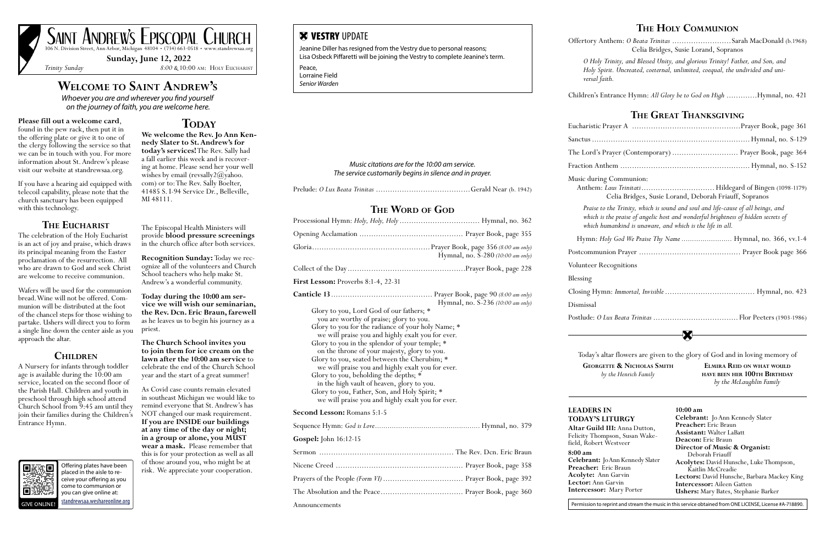### **Welcome to Saint Andrew's**

*Whoever you are and wherever you find yourself on the journey of faith, you are welcome here.* 

## **Please fill out a welcome card,** found in the pew rack, then put it in

the offering plate or give it to one of the clergy following the service so that we can be in touch with you. For more information about St. Andrew's please visit our website at standrewsaa.org.

If you have a hearing aid equipped with telecoil capability, please note that the church sanctuary has been equipped with this technology.

### **The Eucharist**

The celebration of the Holy Eucharist is an act of joy and praise, which draws its principal meaning from the Easter proclamation of the resurrection. All who are drawn to God and seek Christ are welcome to receive communion.

Wafers will be used for the communion bread. Wine will not be offered. Communion will be distributed at the foot of the chancel steps for those wishing to partake. Ushers will direct you to form a single line down the center aisle as you approach the altar.

### **Children**

A Nursery for infants through toddler age is available during the  $10:00$  am service, located on the second floor of the Parish Hall. Children and youth in preschool through high school attend Church School from 9:45 am until they join their families during the Children's Entrance Hymn.



**We welcome the Rev. Jo Ann Kennedy Slater to St. Andrew's for today's services!** The Rev. Sally had a fall earlier this week and is recovering at home. Please send her your well wishes by email (revsally  $2\omega$ yahoo. com) or to: The Rev. Sally Boelter, 41485 S. I-94 Service Dr., Belleville, MI 48111.

The Episcopal Health Ministers will provide **blood pressure screenings** in the church office after both services.

**Recognition Sunday:** Today we recognize all of the volunteers and Church School teachers who help make St. Andrew's a wonderful community.

**Today during the 10:00 am ser- vice we will wish our seminarian, the Rev. Dcn. Eric Braun, farewell** as he leaves us to begin his journey as a priest.

**The Church School invites you to join them for ice cream on the lawn after the 10:00 am service** to celebrate the end of the Church School year and the start of a great summer!

As Covid case counts remain elevated in southeast Michigan we would like to remind everyone that St. Andrew's has NOT changed our mask requirement. **If you are INSIDE our buildings at any time of the day or night; in a group or alone, you MUST wear a mask.** Please remember that this is for your protection as well as all of those around you, who might be at risk. We appreciate your cooperation.

**W VESTRY UPDATE** 

**Sunday, June 12, 2022**

*Trinity Sunday 8:00 &* 10:00 am: Holy Eucharist



Offering plates have been placed in the aisle to receive your offering as you come to communion or you can give online at: [standrewsaa.weshareonline.org](https://standrewsaa.weshareonline.org)

### **TODAY**

### **The Holy Communion**

Offertory Anthem: *O Beata Trinitas* .........................Sarah MacDonald (b.1968) Celia Bridges, Susie Lorand, Sopranos

*O Holy Trinity, and Blessed Unity, and glorious Trinity! Father, and Son, and Holy Spirit. Uncreated, coeternal, unlimited, coequal, the undivided and uni-*

*versal faith.*

**8:00 am Celebrant: J Preacher:** E **Acolyte:** An **Lector:** Ann **Intercessor:** Felicity Thom<br>field, Robert

Children's Entrance Hymn: *All Glory be to God on High* .............Hymnal, no. 421

Eucharistic P1 Sanctus ....... The Lord's P Fraction Ant Music during

Anthem:

 $which$  humanking which *hu* 

Hymn: *H* 

Postcommun

Volunteer Re

### **The Great Thanksgiving**

Blessing

Closing Hymn: *Immortal, Invisible* ...................................... Hymnal, no. 423

Dismissal

Postlude: 0 L

Today's al **GEORGET** 

### **Altar Guild LEADERS I TODAY'S L**

*Music citations are for the 10:00 am service. The service customarily begins in silence and in prayer.*

Prelude: *O Lux Beata Trinitas* ........................................Gerald Near (b. 1942)

### **THE WORD OF GOD**

|                                                                                                                                                                                                                                                                                                                                                                                                                                                                                                                                                                                                    | Hymnal, no. S-280 (10:00 am only) |
|----------------------------------------------------------------------------------------------------------------------------------------------------------------------------------------------------------------------------------------------------------------------------------------------------------------------------------------------------------------------------------------------------------------------------------------------------------------------------------------------------------------------------------------------------------------------------------------------------|-----------------------------------|
|                                                                                                                                                                                                                                                                                                                                                                                                                                                                                                                                                                                                    |                                   |
| <b>First Lesson: Proverbs 8:1-4, 22-31</b>                                                                                                                                                                                                                                                                                                                                                                                                                                                                                                                                                         |                                   |
| Glory to you, Lord God of our fathers; *<br>you are worthy of praise; glory to you.<br>Glory to you for the radiance of your holy Name; *<br>we will praise you and highly exalt you for ever.<br>Glory to you in the splendor of your temple; *<br>on the throne of your majesty, glory to you.<br>Glory to you, seated between the Cherubim; *<br>we will praise you and highly exalt you for ever.<br>Glory to you, beholding the depths; *<br>in the high vault of heaven, glory to you.<br>Glory to you, Father, Son, and Holy Spirit; *<br>we will praise you and highly exalt you for ever. | Hymnal, no. S-236 (10:00 am only) |
| Second Lesson: Romans 5:1-5                                                                                                                                                                                                                                                                                                                                                                                                                                                                                                                                                                        |                                   |
|                                                                                                                                                                                                                                                                                                                                                                                                                                                                                                                                                                                                    |                                   |
| Gospel: John 16:12-15                                                                                                                                                                                                                                                                                                                                                                                                                                                                                                                                                                              |                                   |
|                                                                                                                                                                                                                                                                                                                                                                                                                                                                                                                                                                                                    |                                   |
|                                                                                                                                                                                                                                                                                                                                                                                                                                                                                                                                                                                                    |                                   |
|                                                                                                                                                                                                                                                                                                                                                                                                                                                                                                                                                                                                    |                                   |
|                                                                                                                                                                                                                                                                                                                                                                                                                                                                                                                                                                                                    |                                   |
| Announcements                                                                                                                                                                                                                                                                                                                                                                                                                                                                                                                                                                                      |                                   |

|                                                                                                                                                                                                                                    | Lord's Prayer (Contemporary)  Prayer Book, page 364                        |
|------------------------------------------------------------------------------------------------------------------------------------------------------------------------------------------------------------------------------------|----------------------------------------------------------------------------|
|                                                                                                                                                                                                                                    |                                                                            |
| c during Communion:<br>Celia Bridges, Susie Lorand, Deborah Friauff, Sopranos                                                                                                                                                      |                                                                            |
| Praise to the Trinity, which is sound and soul and life-cause of all beings, and<br>which is the praise of angelic host and wonderful brightness of hidden secrets of<br>which humankind is unaware, and which is the life in all. |                                                                            |
|                                                                                                                                                                                                                                    | ymn: Holy God We Praise Thy Name  Hymnal, no. 366, vv.1-4                  |
|                                                                                                                                                                                                                                    |                                                                            |
| nteer Recognitions                                                                                                                                                                                                                 |                                                                            |
| ing                                                                                                                                                                                                                                |                                                                            |
|                                                                                                                                                                                                                                    |                                                                            |
| issal                                                                                                                                                                                                                              |                                                                            |
|                                                                                                                                                                                                                                    |                                                                            |
|                                                                                                                                                                                                                                    |                                                                            |
|                                                                                                                                                                                                                                    | oday's altar flowers are given to the glory of God and in loving memory of |
| <b>GEORGETTE &amp; NICHOLAS SMITH</b><br>by the Henrich Family                                                                                                                                                                     | <b>ELMIRA REID ON WHAT WOULD</b><br>HAVE BEEN HER 100TH BIRTHDAY           |

Announcements

Jeanine Diller has resigned from the Vestry due to personal reasons; Lisa Osbeck Piffaretti will be joining the Vestry to complete Jeanine's term.

Peace, Lorraine Field *Senior Warden*

Permission to reprint and stream the music in this service obtained from ONE LICENSE, License #A-718890.

| N                                                         | 10:00 am                                    |
|-----------------------------------------------------------|---------------------------------------------|
| ITURGY                                                    | <b>Celebrant:</b> Jo Ann Kennedy Slater     |
|                                                           | <b>Preacher:</b> Eric Braun                 |
| <b>III:</b> Anna Dutton,<br>pson, Susan Wake-<br>Westveer | <b>Assistant:</b> Walter LaBatt             |
|                                                           | Deacon: Eric Braun                          |
|                                                           | Director of Music & Organist:               |
|                                                           | Deborah Friauff                             |
| o Ann Kennedy Slater                                      | Acolytes: David Hunsche, Luke Thompson,     |
| ric Braun                                                 | Kaitlin McCreadie                           |
| n Garvin                                                  | Lectors: David Hunsche, Barbara Mackey King |
| Garvin                                                    | <b>Intercessor:</b> Aileen Gatten           |
| Mary Porter                                               | <b>Ushers:</b> Mary Bates, Stephanie Barker |
|                                                           |                                             |

|  |  |  | by the McLaughlin Family |  |
|--|--|--|--------------------------|--|
|  |  |  |                          |  |